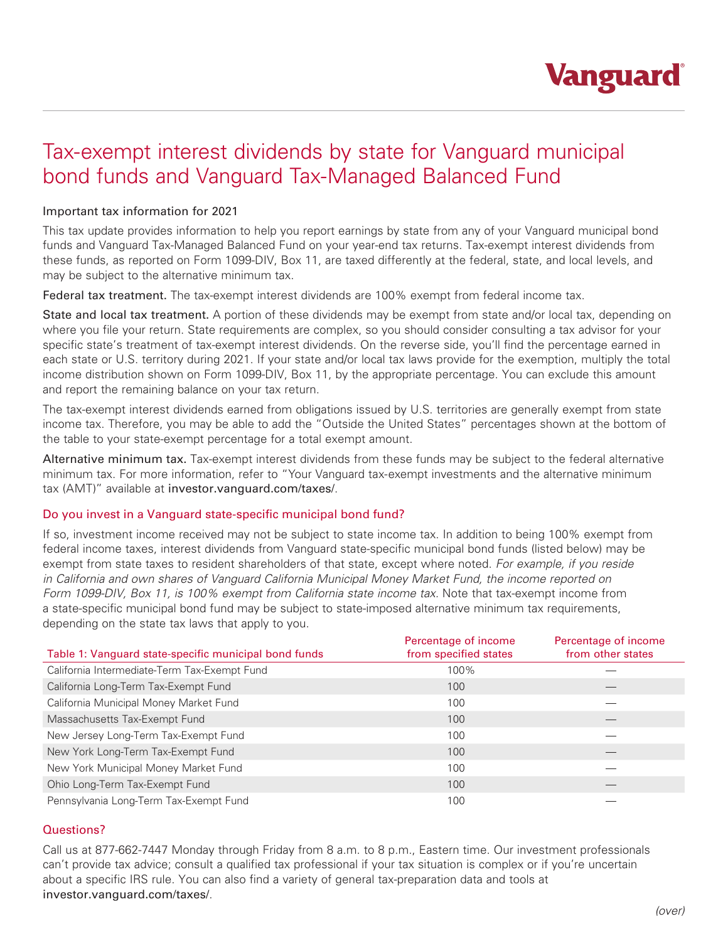

# Tax-exempt interest dividends by state for Vanguard municipal bond funds and Vanguard Tax-Managed Balanced Fund

## Important tax information for 2021

This tax update provides information to help you report earnings by state from any of your Vanguard municipal bond funds and Vanguard Tax-Managed Balanced Fund on your year-end tax returns. Tax-exempt interest dividends from these funds, as reported on Form 1099-DIV, Box 11, are taxed differently at the federal, state, and local levels, and may be subject to the alternative minimum tax.

Federal tax treatment. The tax-exempt interest dividends are 100% exempt from federal income tax.

State and local tax treatment. A portion of these dividends may be exempt from state and/or local tax, depending on where you file your return. State requirements are complex, so you should consider consulting a tax advisor for your specific state's treatment of tax-exempt interest dividends. On the reverse side, you'll find the percentage earned in each state or U.S. territory during 2021. If your state and/or local tax laws provide for the exemption, multiply the total income distribution shown on Form 1099-DIV, Box 11, by the appropriate percentage. You can exclude this amount and report the remaining balance on your tax return.

The tax-exempt interest dividends earned from obligations issued by U.S. territories are generally exempt from state income tax. Therefore, you may be able to add the "Outside the United States" percentages shown at the bottom of the table to your state-exempt percentage for a total exempt amount.

Alternative minimum tax. Tax-exempt interest dividends from these funds may be subject to the federal alternative minimum tax. For more information, refer to "Your Vanguard tax-exempt investments and the alternative minimum tax (AMT)" available at investor.vanguard.com/taxes/.

## Do you invest in a Vanguard state-specific municipal bond fund?

If so, investment income received may not be subject to state income tax. In addition to being 100% exempt from federal income taxes, interest dividends from Vanguard state-specific municipal bond funds (listed below) may be exempt from state taxes to resident shareholders of that state, except where noted. *For example, if you reside in California and own shares of Vanguard California Municipal Money Market Fund, the income reported on Form 1099-DIV, Box 11, is 100% exempt from California state income tax.* Note that tax-exempt income from a state-specific municipal bond fund may be subject to state-imposed alternative minimum tax requirements, depending on the state tax laws that apply to you.

| Table 1: Vanguard state-specific municipal bond funds | Percentage of income<br>from specified states | Percentage of income<br>from other states |
|-------------------------------------------------------|-----------------------------------------------|-------------------------------------------|
| California Intermediate-Term Tax-Exempt Fund          | 100%                                          |                                           |
| California Long-Term Tax-Exempt Fund                  | 100                                           |                                           |
| California Municipal Money Market Fund                | 100                                           |                                           |
| Massachusetts Tax-Exempt Fund                         | 100                                           |                                           |
| New Jersey Long-Term Tax-Exempt Fund                  | 100                                           |                                           |
| New York Long-Term Tax-Exempt Fund                    | 100                                           |                                           |
| New York Municipal Money Market Fund                  | 100                                           |                                           |
| Ohio Long-Term Tax-Exempt Fund                        | 100                                           |                                           |
| Pennsylvania Long-Term Tax-Exempt Fund                | 100                                           |                                           |

## Questions?

Call us at 877-662-7447 Monday through Friday from 8 a.m. to 8 p.m., Eastern time. Our investment professionals can't provide tax advice; consult a qualified tax professional if your tax situation is complex or if you're uncertain about a specific IRS rule. You can also find a variety of general tax-preparation data and tools at investor.vanguard.com/taxes/.